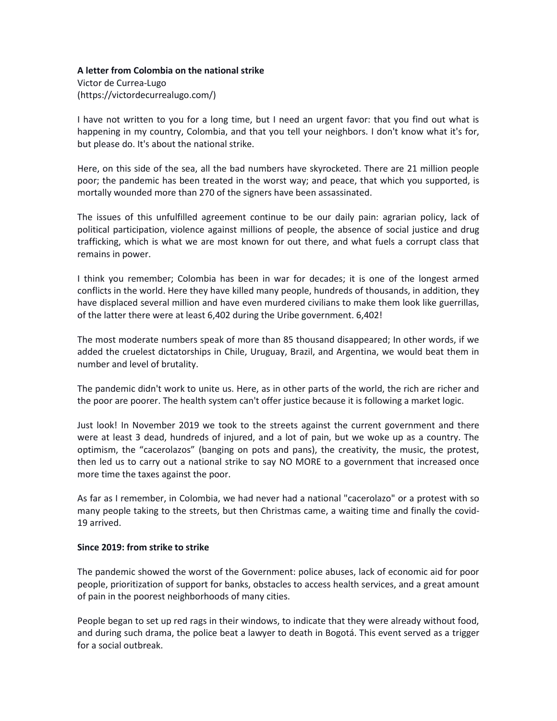## **A letter from Colombia on the national strike**

Victor de Currea-Lugo (https://victordecurrealugo.com/)

I have not written to you for a long time, but I need an urgent favor: that you find out what is happening in my country, Colombia, and that you tell your neighbors. I don't know what it's for, but please do. It's about the national strike.

Here, on this side of the sea, all the bad numbers have skyrocketed. There are 21 million people poor; the pandemic has been treated in the worst way; and peace, that which you supported, is mortally wounded more than 270 of the signers have been assassinated.

The issues of this unfulfilled agreement continue to be our daily pain: agrarian policy, lack of political participation, violence against millions of people, the absence of social justice and drug trafficking, which is what we are most known for out there, and what fuels a corrupt class that remains in power.

I think you remember; Colombia has been in war for decades; it is one of the longest armed conflicts in the world. Here they have killed many people, hundreds of thousands, in addition, they have displaced several million and have even murdered civilians to make them look like guerrillas, of the latter there were at least 6,402 during the Uribe government. 6,402!

The most moderate numbers speak of more than 85 thousand disappeared; In other words, if we added the cruelest dictatorships in Chile, Uruguay, Brazil, and Argentina, we would beat them in number and level of brutality.

The pandemic didn't work to unite us. Here, as in other parts of the world, the rich are richer and the poor are poorer. The health system can't offer justice because it is following a market logic.

Just look! In November 2019 we took to the streets against the current government and there were at least 3 dead, hundreds of injured, and a lot of pain, but we woke up as a country. The optimism, the "cacerolazos" (banging on pots and pans), the creativity, the music, the protest, then led us to carry out a national strike to say NO MORE to a government that increased once more time the taxes against the poor.

As far as I remember, in Colombia, we had never had a national "cacerolazo" or a protest with so many people taking to the streets, but then Christmas came, a waiting time and finally the covid-19 arrived.

## **Since 2019: from strike to strike**

The pandemic showed the worst of the Government: police abuses, lack of economic aid for poor people, prioritization of support for banks, obstacles to access health services, and a great amount of pain in the poorest neighborhoods of many cities.

People began to set up red rags in their windows, to indicate that they were already without food, and during such drama, the police beat a lawyer to death in Bogotá. This event served as a trigger for a social outbreak.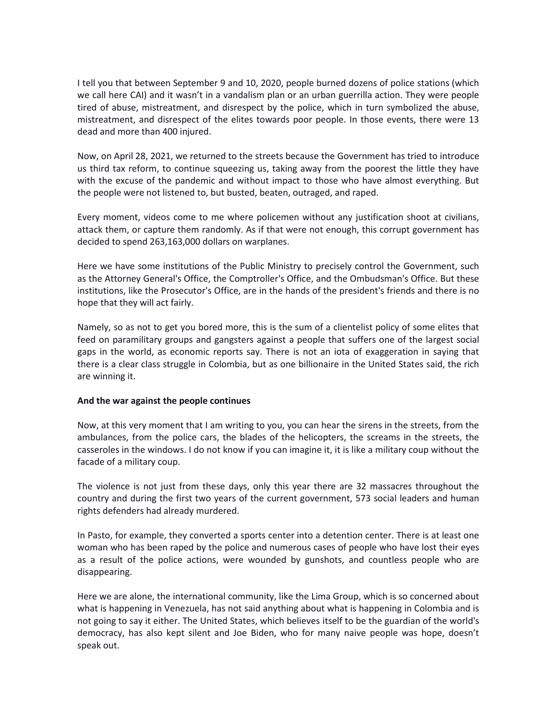I tell you that between September 9 and 10, 2020, people burned dozens of police stations (which we call here CAI) and it wasn't in a vandalism plan or an urban guerrilla action. They were people tired of abuse, mistreatment, and disrespect by the police, which in turn symbolized the abuse, mistreatment, and disrespect of the elites towards poor people. In those events, there were 13 dead and more than 400 injured.

Now, on April 28, 2021, we returned to the streets because the Government has tried to introduce us third tax reform, to continue squeezing us, taking away from the poorest the little they have with the excuse of the pandemic and without impact to those who have almost everything. But the people were not listened to, but busted, beaten, outraged, and raped.

Every moment, videos come to me where policemen without any justification shoot at civilians, attack them, or capture them randomly. As if that were not enough, this corrupt government has decided to spend 263,163,000 dollars on warplanes.

Here we have some institutions of the Public Ministry to precisely control the Government, such as the Attorney General's Office, the Comptroller's Office, and the Ombudsman's Office. But these institutions, like the Prosecutor's Office, are in the hands of the president's friends and there is no hope that they will act fairly.

Namely, so as not to get you bored more, this is the sum of a clientelist policy of some elites that feed on paramilitary groups and gangsters against a people that suffers one of the largest social gaps in the world, as economic reports say. There is not an iota of exaggeration in saying that there is a clear class struggle in Colombia, but as one billionaire in the United States said, the rich are winning it.

## **And the war against the people continues**

Now, at this very moment that I am writing to you, you can hear the sirens in the streets, from the ambulances, from the police cars, the blades of the helicopters, the screams in the streets, the casseroles in the windows. I do not know if you can imagine it, it is like a military coup without the facade of a military coup.

The violence is not just from these days, only this year there are 32 massacres throughout the country and during the first two years of the current government, 573 social leaders and human rights defenders had already murdered.

In Pasto, for example, they converted a sports center into a detention center. There is at least one woman who has been raped by the police and numerous cases of people who have lost their eyes as a result of the police actions, were wounded by gunshots, and countless people who are disappearing.

Here we are alone, the international community, like the Lima Group, which is so concerned about what is happening in Venezuela, has not said anything about what is happening in Colombia and is not going to say it either. The United States, which believes itself to be the guardian of the world's democracy, has also kept silent and Joe Biden, who for many naive people was hope, doesn't speak out.